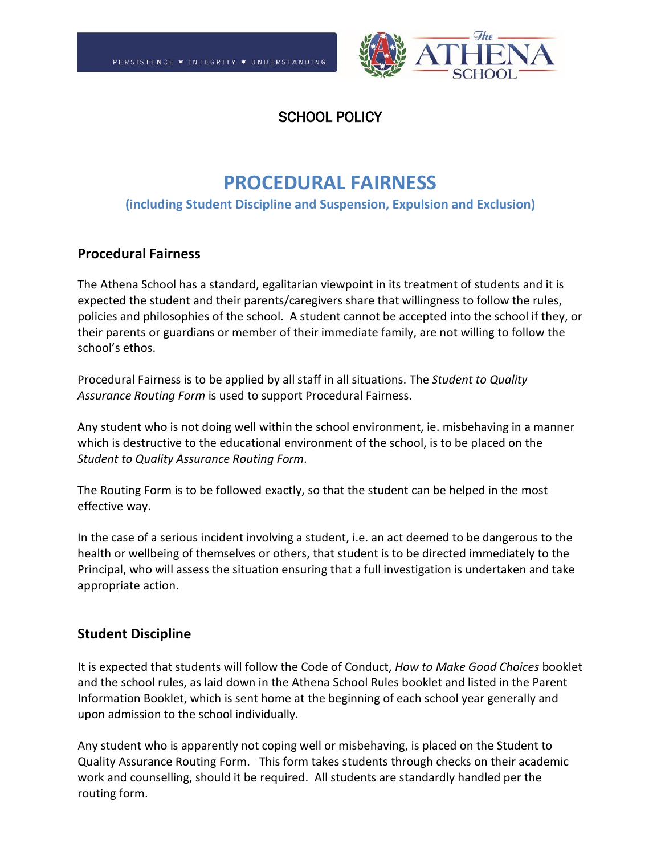

# SCHOOL POLICY

# **PROCEDURAL FAIRNESS**

#### **(including Student Discipline and Suspension, Expulsion and Exclusion)**

#### **Procedural Fairness**

The Athena School has a standard, egalitarian viewpoint in its treatment of students and it is expected the student and their parents/caregivers share that willingness to follow the rules, policies and philosophies of the school. A student cannot be accepted into the school if they, or their parents or guardians or member of their immediate family, are not willing to follow the school's ethos.

Procedural Fairness is to be applied by all staff in all situations. The *Student to Quality Assurance Routing Form* is used to support Procedural Fairness.

Any student who is not doing well within the school environment, ie. misbehaving in a manner which is destructive to the educational environment of the school, is to be placed on the *Student to Quality Assurance Routing Form*.

The Routing Form is to be followed exactly, so that the student can be helped in the most effective way.

In the case of a serious incident involving a student, i.e. an act deemed to be dangerous to the health or wellbeing of themselves or others, that student is to be directed immediately to the Principal, who will assess the situation ensuring that a full investigation is undertaken and take appropriate action.

## **Student Discipline**

It is expected that students will follow the Code of Conduct, *How to Make Good Choices* booklet and the school rules, as laid down in the Athena School Rules booklet and listed in the Parent Information Booklet, which is sent home at the beginning of each school year generally and upon admission to the school individually.

Any student who is apparently not coping well or misbehaving, is placed on the Student to Quality Assurance Routing Form. This form takes students through checks on their academic work and counselling, should it be required. All students are standardly handled per the routing form.